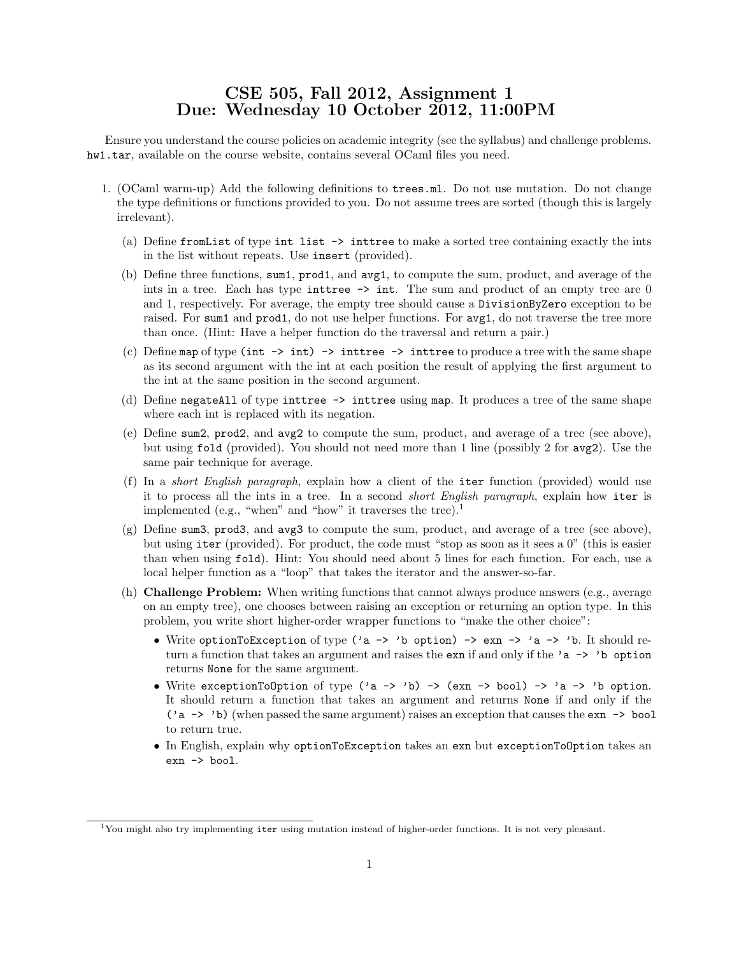## CSE 505, Fall 2012, Assignment 1 Due: Wednesday 10 October 2012, 11:00PM

Ensure you understand the course policies on academic integrity (see the syllabus) and challenge problems. hw1.tar, available on the course website, contains several OCaml files you need.

- 1. (OCaml warm-up) Add the following definitions to trees.ml. Do not use mutation. Do not change the type definitions or functions provided to you. Do not assume trees are sorted (though this is largely irrelevant).
	- (a) Define fromList of type int list -> inttree to make a sorted tree containing exactly the ints in the list without repeats. Use insert (provided).
	- (b) Define three functions, sum1, prod1, and avg1, to compute the sum, product, and average of the ints in a tree. Each has type inttree  $\rightarrow$  int. The sum and product of an empty tree are 0 and 1, respectively. For average, the empty tree should cause a DivisionByZero exception to be raised. For sum1 and prod1, do not use helper functions. For avg1, do not traverse the tree more than once. (Hint: Have a helper function do the traversal and return a pair.)
	- (c) Define map of type (int  $\rightarrow$  int)  $\rightarrow$  inttree  $\rightarrow$  inttree to produce a tree with the same shape as its second argument with the int at each position the result of applying the first argument to the int at the same position in the second argument.
	- (d) Define negateAll of type inttree -> inttree using map. It produces a tree of the same shape where each int is replaced with its negation.
	- (e) Define sum2, prod2, and avg2 to compute the sum, product, and average of a tree (see above), but using fold (provided). You should not need more than 1 line (possibly 2 for avg2). Use the same pair technique for average.
	- (f) In a short English paragraph, explain how a client of the iter function (provided) would use it to process all the ints in a tree. In a second short English paragraph, explain how iter is implemented (e.g., "when" and "how" it traverses the tree).<sup>1</sup>
	- (g) Define sum3, prod3, and avg3 to compute the sum, product, and average of a tree (see above), but using iter (provided). For product, the code must "stop as soon as it sees a 0" (this is easier than when using fold). Hint: You should need about 5 lines for each function. For each, use a local helper function as a "loop" that takes the iterator and the answer-so-far.
	- (h) Challenge Problem: When writing functions that cannot always produce answers (e.g., average on an empty tree), one chooses between raising an exception or returning an option type. In this problem, you write short higher-order wrapper functions to "make the other choice":
		- Write optionToException of type ('a -> 'b option) -> exn -> 'a -> 'b. It should return a function that takes an argument and raises the exn if and only if the 'a -> 'b option returns None for the same argument.
		- Write exceptionToOption of type ('a -> 'b) -> (exn -> bool) -> 'a -> 'b option. It should return a function that takes an argument and returns None if and only if the ('a -> 'b) (when passed the same argument) raises an exception that causes the exn -> bool to return true.
		- In English, explain why optionToException takes an exn but exceptionToOption takes an exn -> bool.

<sup>&</sup>lt;sup>1</sup>You might also try implementing iter using mutation instead of higher-order functions. It is not very pleasant.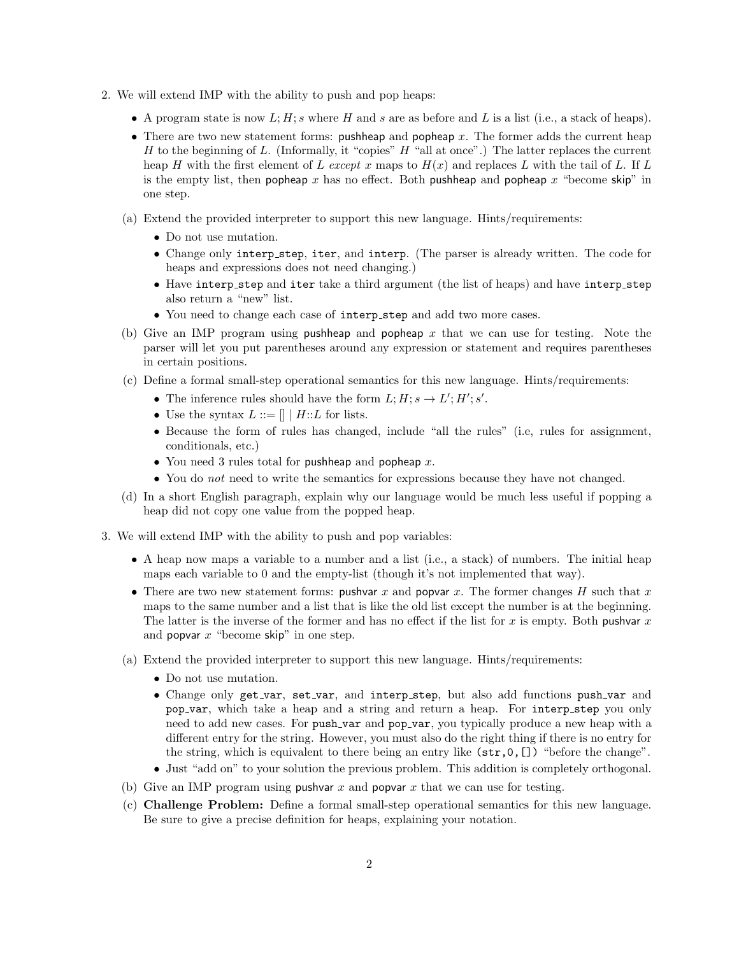- 2. We will extend IMP with the ability to push and pop heaps:
	- A program state is now  $L; H; s$  where H and s are as before and L is a list (i.e., a stack of heaps).
	- There are two new statement forms: pushheap and popheap x. The former adds the current heap H to the beginning of L. (Informally, it "copies"  $H$  "all at once".) The latter replaces the current heap H with the first element of L except x maps to  $H(x)$  and replaces L with the tail of L. If L is the empty list, then popheap x has no effect. Both pushheap and popheap  $x$  "become skip" in one step.
	- (a) Extend the provided interpreter to support this new language. Hints/requirements:
		- Do not use mutation.
		- Change only interp step, iter, and interp. (The parser is already written. The code for heaps and expressions does not need changing.)
		- Have interp step and iter take a third argument (the list of heaps) and have interp step also return a "new" list.
		- You need to change each case of interp step and add two more cases.
	- (b) Give an IMP program using pushheap and popheap x that we can use for testing. Note the parser will let you put parentheses around any expression or statement and requires parentheses in certain positions.
	- (c) Define a formal small-step operational semantics for this new language. Hints/requirements:
		- The inference rules should have the form  $L; H; s \to L'; H'; s'.$
		- Use the syntax  $L ::= \|\| H :: L$  for lists.
		- Because the form of rules has changed, include "all the rules" (i.e, rules for assignment, conditionals, etc.)
		- You need 3 rules total for pushheap and popheap  $x$ .
		- You do *not* need to write the semantics for expressions because they have not changed.
	- (d) In a short English paragraph, explain why our language would be much less useful if popping a heap did not copy one value from the popped heap.
- 3. We will extend IMP with the ability to push and pop variables:
	- A heap now maps a variable to a number and a list (i.e., a stack) of numbers. The initial heap maps each variable to 0 and the empty-list (though it's not implemented that way).
	- There are two new statement forms: pushvar x and popvar x. The former changes H such that x maps to the same number and a list that is like the old list except the number is at the beginning. The latter is the inverse of the former and has no effect if the list for x is empty. Both pushvar  $x$ and popvar  $x$  "become skip" in one step.
	- (a) Extend the provided interpreter to support this new language. Hints/requirements:
		- Do not use mutation.
		- Change only get var, set var, and interp step, but also add functions push var and pop var, which take a heap and a string and return a heap. For interp step you only need to add new cases. For push var and pop var, you typically produce a new heap with a different entry for the string. However, you must also do the right thing if there is no entry for the string, which is equivalent to there being an entry like (str,0,[]) "before the change".
		- Just "add on" to your solution the previous problem. This addition is completely orthogonal.
	- (b) Give an IMP program using pushvar x and popvar x that we can use for testing.
	- (c) Challenge Problem: Define a formal small-step operational semantics for this new language. Be sure to give a precise definition for heaps, explaining your notation.